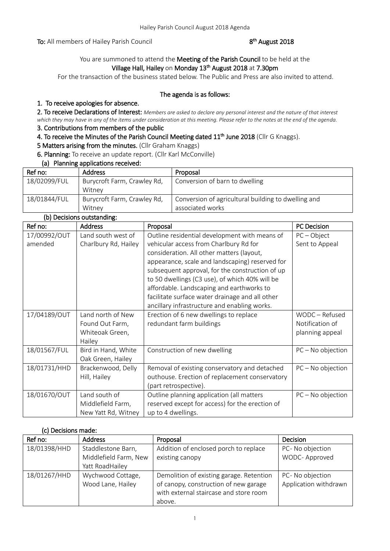To: All members of Hailey Parish Council

# <sup>th</sup> August 2018

# You are summoned to attend the Meeting of the Parish Council to be held at the Village Hall, Hailey on Monday 13<sup>th</sup> August 2018 at 7.30pm

For the transaction of the business stated below. The Public and Press are also invited to attend.

### The agenda is as follows:

### 1. To receive apologies for absence.

2. To receive Declarations of Interest: *Members are asked to declare any personal interest and the nature of that interest which they may have in any of the items under consideration at this meeting. Please refer to the notes at the end of the agenda.*

# 3. Contributions from members of the public

4. To receive the Minutes of the Parish Council Meeting dated 11<sup>th</sup> June 2018 (Cllr G Knaggs).

5 Matters arising from the minutes. (Cllr Graham Knaggs)

6. Planning: To receive an update report. (Cllr Karl McConville)

### (a) Planning applications received:

| Ref no:      | <b>Address</b>              | Proposal                                            |
|--------------|-----------------------------|-----------------------------------------------------|
| 18/02099/FUL | Burycroft Farm, Crawley Rd, | Conversion of barn to dwelling                      |
|              | Witney                      |                                                     |
| 18/01844/FUL | Burycroft Farm, Crawley Rd, | Conversion of agricultural building to dwelling and |
|              | Witney                      | associated works                                    |

|  | (b) Decisions outstanding: |
|--|----------------------------|
|  |                            |

| Ref no:      | <b>Address</b>       | Proposal                                        | <b>PC</b> Decision  |
|--------------|----------------------|-------------------------------------------------|---------------------|
| 17/00992/OUT | Land south west of   | Outline residential development with means of   | $PC - Object$       |
| amended      | Charlbury Rd, Hailey | vehicular access from Charlbury Rd for          | Sent to Appeal      |
|              |                      | consideration. All other matters (layout,       |                     |
|              |                      | appearance, scale and landscaping) reserved for |                     |
|              |                      | subsequent approval, for the construction of up |                     |
|              |                      | to 50 dwellings (C3 use), of which 40% will be  |                     |
|              |                      | affordable. Landscaping and earthworks to       |                     |
|              |                      | facilitate surface water drainage and all other |                     |
|              |                      | ancillary infrastructure and enabling works.    |                     |
| 17/04189/OUT | Land north of New    | Erection of 6 new dwellings to replace          | WODC - Refused      |
|              | Found Out Farm,      | redundant farm buildings                        | Notification of     |
|              | Whiteoak Green,      |                                                 | planning appeal     |
|              | Hailey               |                                                 |                     |
| 18/01567/FUL | Bird in Hand, White  | Construction of new dwelling                    | $PC - No$ objection |
|              | Oak Green, Hailey    |                                                 |                     |
| 18/01731/HHD | Brackenwood, Delly   | Removal of existing conservatory and detached   | $PC - No$ objection |
|              | Hill, Hailey         | outhouse. Erection of replacement conservatory  |                     |
|              |                      | (part retrospective).                           |                     |
| 18/01670/OUT | Land south of        | Outline planning application (all matters       | $PC - No$ objection |
|              | Middlefield Farm,    | reserved except for access) for the erection of |                     |
|              | New Yatt Rd, Witney  | up to 4 dwellings.                              |                     |

### (c) Decisions made:

| Ref no:      | <b>Address</b>        | Proposal                                 | Decision              |
|--------------|-----------------------|------------------------------------------|-----------------------|
| 18/01398/HHD | Staddlestone Barn,    | Addition of enclosed porch to replace    | PC- No objection      |
|              | Middlefield Farm, New | existing canopy                          | WODC-Approved         |
|              | Yatt RoadHailey       |                                          |                       |
| 18/01267/HHD | Wychwood Cottage,     | Demolition of existing garage. Retention | PC- No objection      |
|              | Wood Lane, Hailey     | of canopy, construction of new garage    | Application withdrawn |
|              |                       | with external staircase and store room   |                       |
|              |                       | above.                                   |                       |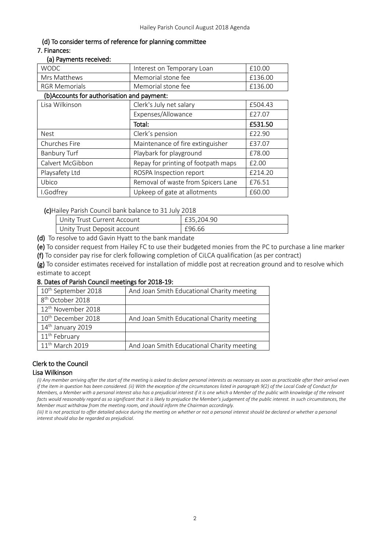# (d) To consider terms of reference for planning committee

# 7. Finances:

#### (a) Payments received:

| <b>WODC</b>                                | Interest on Temporary Loan          | £10.00  |
|--------------------------------------------|-------------------------------------|---------|
| Mrs Matthews                               | Memorial stone fee                  | £136.00 |
| <b>RGR Memorials</b>                       | Memorial stone fee                  | £136.00 |
| (b)Accounts for authorisation and payment: |                                     |         |
| Lisa Wilkinson                             | Clerk's July net salary             | £504.43 |
|                                            | Expenses/Allowance                  | £27.07  |
|                                            | Total:                              | £531.50 |
| <b>Nest</b>                                | Clerk's pension                     | £22.90  |
| Churches Fire                              | Maintenance of fire extinguisher    | £37.07  |
| <b>Banbury Turf</b>                        | Playbark for playground             | £78.00  |
| Calvert McGibbon                           | Repay for printing of footpath maps | £2.00   |
| Playsafety Ltd                             | ROSPA Inspection report             | £214.20 |
| Ubico                                      | Removal of waste from Spicers Lane  | £76.51  |
| I.Godfrey                                  | Upkeep of gate at allotments        | £60.00  |

(c)Hailey Parish Council bank balance to 31 July 2018

| Unity Trust Current Account | £35.204.90 |
|-----------------------------|------------|
| Unity Trust Deposit account | £96.66     |

(d) To resolve to add Gavin Hyatt to the bank mandate

(e) To consider request from Hailey FC to use their budgeted monies from the PC to purchase a line marker

(f) To consider pay rise for clerk following completion of CiLCA qualification (as per contract)

(g) To consider estimates received for installation of middle post at recreation ground and to resolve which estimate to accept

### 8. Dates of Parish Council meetings for 2018-19:

| 10 <sup>th</sup> September 2018 | And Joan Smith Educational Charity meeting |
|---------------------------------|--------------------------------------------|
| 8 <sup>th</sup> October 2018    |                                            |
| 12 <sup>th</sup> November 2018  |                                            |
| 10 <sup>th</sup> December 2018  | And Joan Smith Educational Charity meeting |
| 14 <sup>th</sup> January 2019   |                                            |
| 11 <sup>th</sup> February       |                                            |
| 11 <sup>th</sup> March 2019     | And Joan Smith Educational Charity meeting |

# Clerk to the Council

### Lisa Wilkinson

*(i) Any member arriving after the start of the meeting is asked to declare personal interests as necessary as soon as practicable after their arrival even if the item in question has been considered. (ii) With the exception of the circumstances listed in paragraph 9(2) of the Local Code of Conduct for Members, a Member with a personal interest also has a prejudicial interest if it is one which a Member of the public with knowledge of the relevant facts would reasonably regard as so significant that it is likely to prejudice the Member's judgement of the public interest. In such circumstances, the Member must withdraw from the meeting room, and should inform the Chairman accordingly.*

*(iii)* It is not practical to offer detailed advice during the meeting on whether or not a personal interest should be declared or whether a personal *interest should also be regarded as prejudicial.*